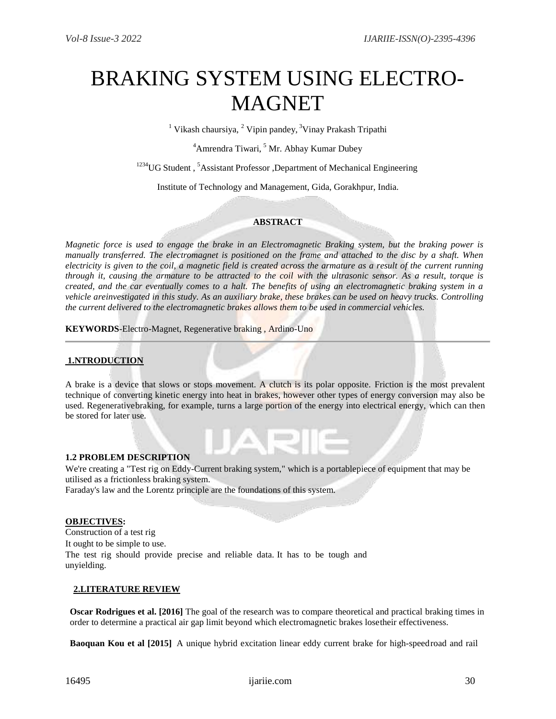# BRAKING SYSTEM USING ELECTRO-MAGNET

<sup>1</sup> Vikash chaursiya, <sup>2</sup> Vipin pandey, <sup>3</sup> Vinay Prakash Tripathi

 $4$ Amrendra Tiwari,  $5$  Mr. Abhay Kumar Dubey

<sup>1234</sup>UG Student, <sup>5</sup>Assistant Professor, Department of Mechanical Engineering

Institute of Technology and Management, Gida, Gorakhpur, India.

# **ABSTRACT**

*Magnetic force is used to engage the brake in an Electromagnetic Braking system, but the braking power is manually transferred. The electromagnet is positioned on the frame and attached to the disc by a shaft. When electricity is given to the coil, a magnetic field is created across the armature as a result of the current running through it, causing the armature to be attracted to the coil with the ultrasonic sensor. As a result, torque is created, and the car eventually comes to a halt. The benefits of using an electromagnetic braking system in a vehicle areinvestigated in this study. As an auxiliary brake, these brakes can be used on heavy trucks. Controlling the current delivered to the electromagnetic brakes allows them to be used in commercial vehicles.*

**KEYWORDS**-Electro-Magnet, Regenerative braking , Ardino-Uno

# **1.NTRODUCTION**

A brake is a device that slows or stops movement. A clutch is its polar opposite. Friction is the most prevalent technique of converting kinetic energy into heat in brakes, however other types of energy conversion may also be used. Regenerativebraking, for example, turns a large portion of the energy into electrical energy, which can then be stored for later use.

# **1.2 PROBLEM DESCRIPTION**

We're creating a "Test rig on Eddy-Current braking system," which is a portablepiece of equipment that may be utilised as a frictionless braking system.

Faraday's law and the Lorentz principle are the foundations of this system.

#### **OBJECTIVES:**

Construction of a test rig It ought to be simple to use. The test rig should provide precise and reliable data. It has to be tough and unyielding.

# **2.LITERATURE REVIEW**

**Oscar Rodrigues et al. [2016]** The goal of the research was to compare theoretical and practical braking times in order to determine a practical air gap limit beyond which electromagnetic brakes losetheir effectiveness.

**Baoquan Kou et al [2015]** A unique hybrid excitation linear eddy current brake for high-speedroad and rail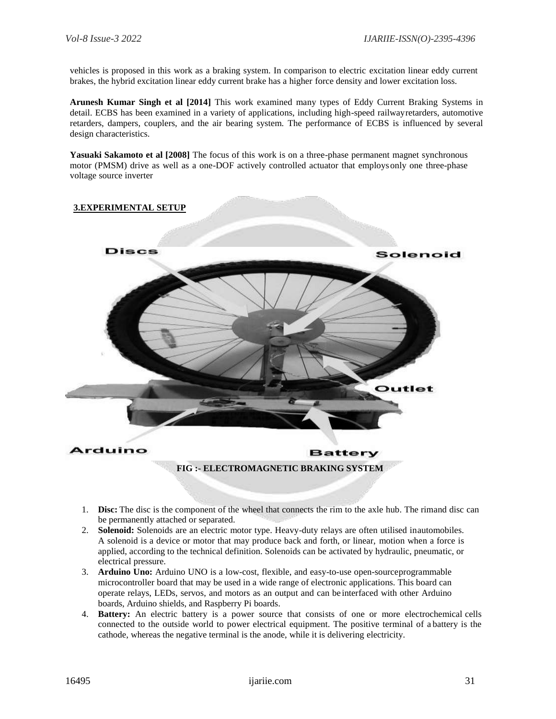vehicles is proposed in this work as a braking system. In comparison to electric excitation linear eddy current brakes, the hybrid excitation linear eddy current brake has a higher force density and lower excitation loss.

**Arunesh Kumar Singh et al [2014]** This work examined many types of Eddy Current Braking Systems in detail. ECBS has been examined in a variety of applications, including high-speed railwayretarders, automotive retarders, dampers, couplers, and the air bearing system. The performance of ECBS is influenced by several design characteristics.

**Yasuaki Sakamoto et al [2008]** The focus of this work is on a three-phase permanent magnet synchronous motor (PMSM) drive as well as a one-DOF actively controlled actuator that employsonly one three-phase voltage source inverter



- 1. **Disc:** The disc is the component of the wheel that connects the rim to the axle hub. The rimand disc can be permanently attached or separated.
- 2. **Solenoid:** Solenoids are an electric motor type. Heavy-duty relays are often utilised inautomobiles. A solenoid is a device or motor that may produce back and forth, or linear, motion when a force is applied, according to the technical definition. Solenoids can be activated by hydraulic, pneumatic, or electrical pressure.
- 3. **Arduino Uno:** Arduino UNO is a low-cost, flexible, and easy-to-use open-sourceprogrammable microcontroller board that may be used in a wide range of electronic applications. This board can operate relays, LEDs, servos, and motors as an output and can be interfaced with other Arduino boards, Arduino shields, and Raspberry Pi boards.
- 4. **Battery:** An electric battery is a power source that consists of one or more electrochemical cells connected to the outside world to power electrical equipment. The positive terminal of a battery is the cathode, whereas the negative terminal is the anode, while it is delivering electricity.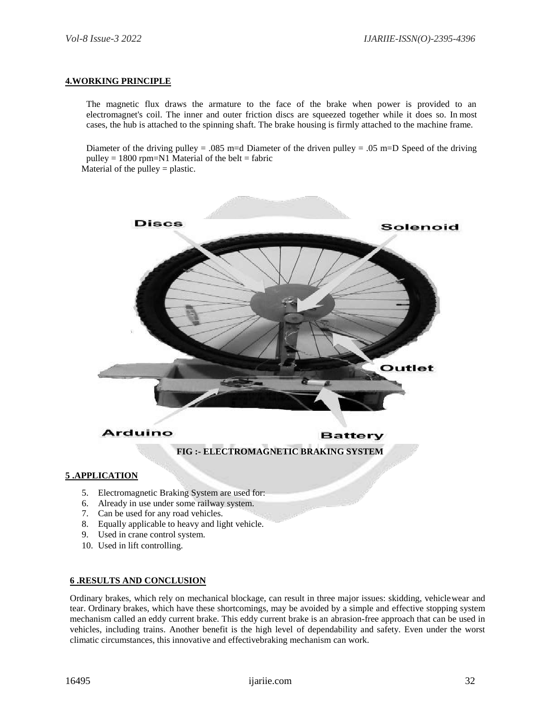#### **4.WORKING PRINCIPLE**

The magnetic flux draws the armature to the face of the brake when power is provided to an electromagnet's coil. The inner and outer friction discs are squeezed together while it does so. In most cases, the hub is attached to the spinning shaft. The brake housing is firmly attached to the machine frame.

Diameter of the driving pulley = .085 m=d Diameter of the driven pulley = .05 m=D Speed of the driving pulley =  $1800$  rpm=N1 Material of the belt = fabric Material of the pulley  $=$  plastic.

**Discs** Solenoid Outlet Arduino **Battery FIG :- ELECTROMAGNETIC BRAKING SYSTEM 5 .APPLICATION** 5. Electromagnetic Braking System are used for:

- 6. Already in use under some railway system.
- 7. Can be used for any road vehicles.
- 8. Equally applicable to heavy and light vehicle.
- 9. Used in crane control system.
- 10. Used in lift controlling.

## **6 .RESULTS AND CONCLUSION**

Ordinary brakes, which rely on mechanical blockage, can result in three major issues: skidding, vehiclewear and tear. Ordinary brakes, which have these shortcomings, may be avoided by a simple and effective stopping system mechanism called an eddy current brake. This eddy current brake is an abrasion-free approach that can be used in vehicles, including trains. Another benefit is the high level of dependability and safety. Even under the worst climatic circumstances, this innovative and effectivebraking mechanism can work.